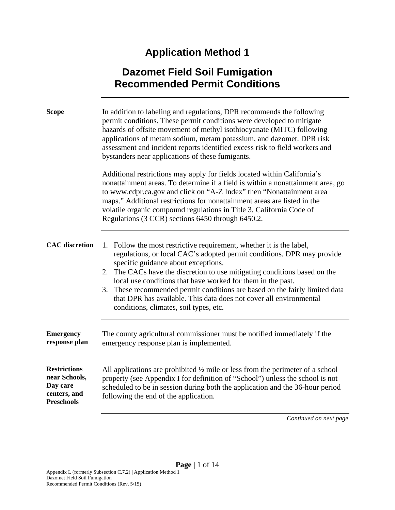# **Application Method 1**

## **Dazomet Field Soil Fumigation Recommended Permit Conditions**

| <b>Scope</b>                                                                          | In addition to labeling and regulations, DPR recommends the following<br>permit conditions. These permit conditions were developed to mitigate<br>hazards of offsite movement of methyl isothiocyanate (MITC) following<br>applications of metam sodium, metam potassium, and dazomet. DPR risk<br>assessment and incident reports identified excess risk to field workers and<br>bystanders near applications of these fumigants.                                                                                                  |  |
|---------------------------------------------------------------------------------------|-------------------------------------------------------------------------------------------------------------------------------------------------------------------------------------------------------------------------------------------------------------------------------------------------------------------------------------------------------------------------------------------------------------------------------------------------------------------------------------------------------------------------------------|--|
|                                                                                       | Additional restrictions may apply for fields located within California's<br>nonattainment areas. To determine if a field is within a nonattainment area, go<br>to www.cdpr.ca.gov and click on "A-Z Index" then "Nonattainment area<br>maps." Additional restrictions for nonattainment areas are listed in the<br>volatile organic compound regulations in Title 3, California Code of<br>Regulations (3 CCR) sections 6450 through 6450.2.                                                                                        |  |
| <b>CAC</b> discretion                                                                 | 1. Follow the most restrictive requirement, whether it is the label,<br>regulations, or local CAC's adopted permit conditions. DPR may provide<br>specific guidance about exceptions.<br>2. The CACs have the discretion to use mitigating conditions based on the<br>local use conditions that have worked for them in the past.<br>These recommended permit conditions are based on the fairly limited data<br>3.<br>that DPR has available. This data does not cover all environmental<br>conditions, climates, soil types, etc. |  |
| <b>Emergency</b><br>response plan                                                     | The county agricultural commissioner must be notified immediately if the<br>emergency response plan is implemented.                                                                                                                                                                                                                                                                                                                                                                                                                 |  |
| <b>Restrictions</b><br>near Schools,<br>Day care<br>centers, and<br><b>Preschools</b> | All applications are prohibited $\frac{1}{2}$ mile or less from the perimeter of a school<br>property (see Appendix I for definition of "School") unless the school is not<br>scheduled to be in session during both the application and the 36-hour period<br>following the end of the application.                                                                                                                                                                                                                                |  |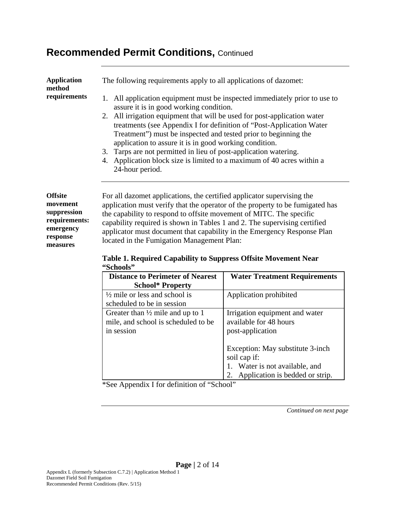| <b>Application</b><br>method<br>requirements                                                    | The following requirements apply to all applications of dazomet:<br>1. All application equipment must be inspected immediately prior to use to<br>assure it is in good working condition.<br>2. All irrigation equipment that will be used for post-application water<br>treatments (see Appendix I for definition of "Post-Application Water"<br>Treatment") must be inspected and tested prior to beginning the<br>application to assure it is in good working condition.<br>3. Tarps are not permitted in lieu of post-application watering.<br>Application block size is limited to a maximum of 40 acres within a<br>4.<br>24-hour period. |
|-------------------------------------------------------------------------------------------------|-------------------------------------------------------------------------------------------------------------------------------------------------------------------------------------------------------------------------------------------------------------------------------------------------------------------------------------------------------------------------------------------------------------------------------------------------------------------------------------------------------------------------------------------------------------------------------------------------------------------------------------------------|
| <b>Offsite</b><br>movement<br>suppression<br>requirements:<br>emergency<br>response<br>measures | For all dazomet applications, the certified applicator supervising the<br>application must verify that the operator of the property to be fumigated has<br>the capability to respond to offsite movement of MITC. The specific<br>capability required is shown in Tables 1 and 2. The supervising certified<br>applicator must document that capability in the Emergency Response Plan<br>located in the Fumigation Management Plan:                                                                                                                                                                                                            |

#### **Table 1. Required Capability to Suppress Offsite Movement Near "Schools"**

| <b>Distance to Perimeter of Nearest</b><br><b>School* Property</b>                               | <b>Water Treatment Requirements</b>                                                                                |
|--------------------------------------------------------------------------------------------------|--------------------------------------------------------------------------------------------------------------------|
| $\frac{1}{2}$ mile or less and school is<br>scheduled to be in session                           | Application prohibited                                                                                             |
| Greater than $\frac{1}{2}$ mile and up to 1<br>mile, and school is scheduled to be<br>in session | Irrigation equipment and water<br>available for 48 hours<br>post-application                                       |
|                                                                                                  | Exception: May substitute 3-inch<br>soil cap if:<br>Water is not available, and<br>Application is bedded or strip. |

\*See Appendix I for definition of "School"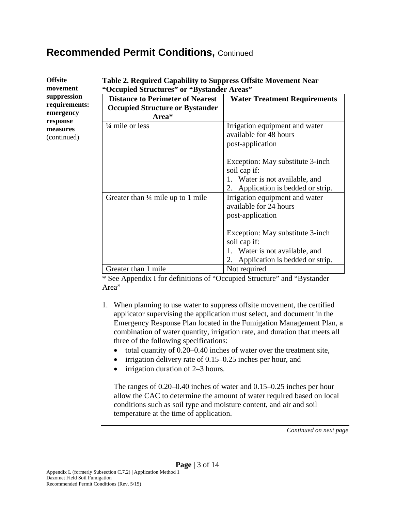| <b>Offsite</b> |
|----------------|
| movement       |
| suppression    |
| requirements:  |
| emergency      |
| response       |
| measures       |
| (continued)    |

### **Table 2. Required Capability to Suppress Offsite Movement Near "Occupied Structures" or "Bystander Areas"**

| Occupicu structures of Dystanuer Areas                                                     |                                                                                                                             |
|--------------------------------------------------------------------------------------------|-----------------------------------------------------------------------------------------------------------------------------|
| <b>Distance to Perimeter of Nearest</b><br><b>Occupied Structure or Bystander</b><br>Area* | <b>Water Treatment Requirements</b>                                                                                         |
| $\frac{1}{4}$ mile or less                                                                 | Irrigation equipment and water<br>available for 48 hours<br>post-application                                                |
|                                                                                            | Exception: May substitute 3-inch<br>soil cap if:<br>1. Water is not available, and<br>2. Application is bedded or strip.    |
| Greater than $\frac{1}{4}$ mile up to 1 mile                                               | Irrigation equipment and water<br>available for 24 hours<br>post-application                                                |
|                                                                                            | Exception: May substitute 3-inch<br>soil cap if:<br>1. Water is not available, and<br>Application is bedded or strip.<br>2. |
| Greater than 1 mile                                                                        | Not required                                                                                                                |

\* See Appendix I for definitions of "Occupied Structure" and "Bystander Area"

- 1. When planning to use water to suppress offsite movement, the certified applicator supervising the application must select, and document in the Emergency Response Plan located in the Fumigation Management Plan, a combination of water quantity, irrigation rate, and duration that meets all three of the following specifications:
	- total quantity of 0.20–0.40 inches of water over the treatment site,
	- irrigation delivery rate of 0.15–0.25 inches per hour, and
	- irrigation duration of 2–3 hours.

The ranges of 0.20–0.40 inches of water and 0.15–0.25 inches per hour allow the CAC to determine the amount of water required based on local conditions such as soil type and moisture content, and air and soil temperature at the time of application.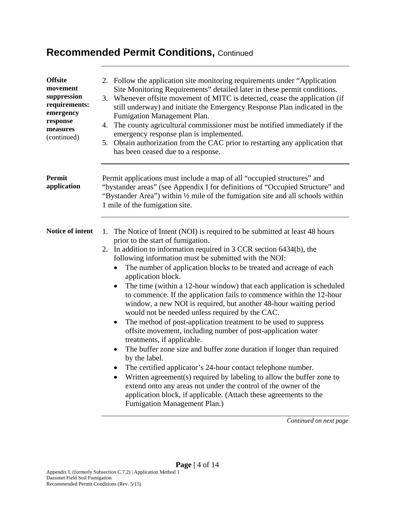| <b>Offsite</b><br>movement<br>suppression<br>requirements:<br>emergency<br>response<br>measures<br>(continued) | 2. Follow the application site monitoring requirements under "Application"<br>Site Monitoring Requirements" detailed later in these permit conditions.<br>Whenever offsite movement of MITC is detected, cease the application (if<br>3.<br>still underway) and initiate the Emergency Response Plan indicated in the<br>Fumigation Management Plan.<br>The county agricultural commissioner must be notified immediately if the<br>4.<br>emergency response plan is implemented.<br>5. Obtain authorization from the CAC prior to restarting any application that<br>has been ceased due to a response.                                                                                                                                                                                                                                                                                                                                                                                                                                                                                                                                                                                                        |  |  |
|----------------------------------------------------------------------------------------------------------------|-----------------------------------------------------------------------------------------------------------------------------------------------------------------------------------------------------------------------------------------------------------------------------------------------------------------------------------------------------------------------------------------------------------------------------------------------------------------------------------------------------------------------------------------------------------------------------------------------------------------------------------------------------------------------------------------------------------------------------------------------------------------------------------------------------------------------------------------------------------------------------------------------------------------------------------------------------------------------------------------------------------------------------------------------------------------------------------------------------------------------------------------------------------------------------------------------------------------|--|--|
| Permit<br>application                                                                                          | Permit applications must include a map of all "occupied structures" and<br>"bystander areas" (see Appendix I for definitions of "Occupied Structure" and<br>"Bystander Area") within 1/2 mile of the fumigation site and all schools within<br>1 mile of the fumigation site.                                                                                                                                                                                                                                                                                                                                                                                                                                                                                                                                                                                                                                                                                                                                                                                                                                                                                                                                   |  |  |
| Notice of intent                                                                                               | The Notice of Intent (NOI) is required to be submitted at least 48 hours<br>1.<br>prior to the start of fumigation.<br>2. In addition to information required in 3 CCR section 6434(b), the<br>following information must be submitted with the NOI:<br>The number of application blocks to be treated and acreage of each<br>٠<br>application block.<br>The time (within a 12-hour window) that each application is scheduled<br>٠<br>to commence. If the application fails to commence within the 12-hour<br>window, a new NOI is required, but another 48-hour waiting period<br>would not be needed unless required by the CAC.<br>The method of post-application treatment to be used to suppress<br>offsite movement, including number of post-application water<br>treatments, if applicable.<br>The buffer zone size and buffer zone duration if longer than required<br>by the label.<br>The certified applicator's 24-hour contact telephone number.<br>Written agreement(s) required by labeling to allow the buffer zone to<br>extend onto any areas not under the control of the owner of the<br>application block, if applicable. (Attach these agreements to the<br>Fumigation Management Plan.) |  |  |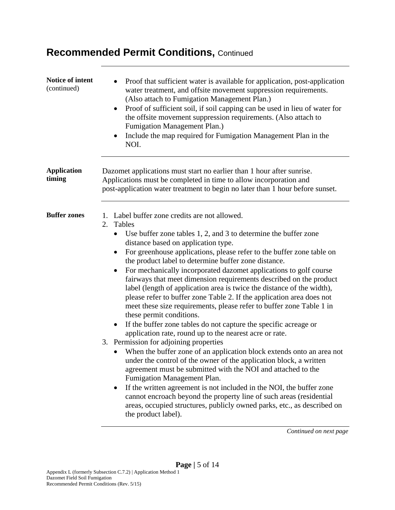| Notice of intent<br>(continued) | Proof that sufficient water is available for application, post-application<br>water treatment, and offsite movement suppression requirements.<br>(Also attach to Fumigation Management Plan.)<br>Proof of sufficient soil, if soil capping can be used in lieu of water for<br>$\bullet$<br>the offsite movement suppression requirements. (Also attach to<br>Fumigation Management Plan.)<br>Include the map required for Fumigation Management Plan in the<br>NOI.                                                                                                                                                                                                                                                                                                                                                                                                                                                                                                                                                                                                                                                                                                                                                                                                                                                                                                                                      |  |  |
|---------------------------------|-----------------------------------------------------------------------------------------------------------------------------------------------------------------------------------------------------------------------------------------------------------------------------------------------------------------------------------------------------------------------------------------------------------------------------------------------------------------------------------------------------------------------------------------------------------------------------------------------------------------------------------------------------------------------------------------------------------------------------------------------------------------------------------------------------------------------------------------------------------------------------------------------------------------------------------------------------------------------------------------------------------------------------------------------------------------------------------------------------------------------------------------------------------------------------------------------------------------------------------------------------------------------------------------------------------------------------------------------------------------------------------------------------------|--|--|
| <b>Application</b><br>timing    | Dazomet applications must start no earlier than 1 hour after sunrise.<br>Applications must be completed in time to allow incorporation and<br>post-application water treatment to begin no later than 1 hour before sunset.                                                                                                                                                                                                                                                                                                                                                                                                                                                                                                                                                                                                                                                                                                                                                                                                                                                                                                                                                                                                                                                                                                                                                                               |  |  |
| <b>Buffer zones</b>             | 1. Label buffer zone credits are not allowed.<br>Tables<br>2.<br>Use buffer zone tables 1, 2, and 3 to determine the buffer zone<br>distance based on application type.<br>For greenhouse applications, please refer to the buffer zone table on<br>٠<br>the product label to determine buffer zone distance.<br>For mechanically incorporated dazomet applications to golf course<br>fairways that meet dimension requirements described on the product<br>label (length of application area is twice the distance of the width),<br>please refer to buffer zone Table 2. If the application area does not<br>meet these size requirements, please refer to buffer zone Table 1 in<br>these permit conditions.<br>If the buffer zone tables do not capture the specific acreage or<br>$\bullet$<br>application rate, round up to the nearest acre or rate.<br>3. Permission for adjoining properties<br>When the buffer zone of an application block extends onto an area not<br>under the control of the owner of the application block, a written<br>agreement must be submitted with the NOI and attached to the<br>Fumigation Management Plan.<br>If the written agreement is not included in the NOI, the buffer zone<br>٠<br>cannot encroach beyond the property line of such areas (residential<br>areas, occupied structures, publicly owned parks, etc., as described on<br>the product label). |  |  |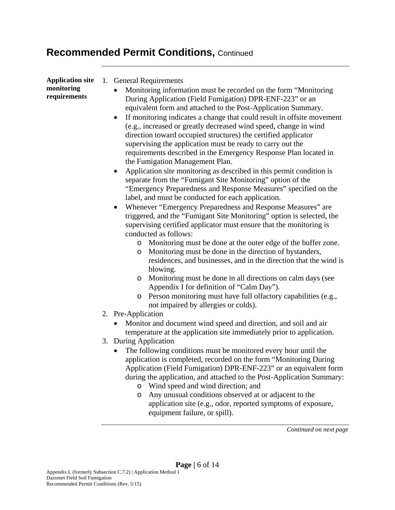| <b>Application site</b><br>monitoring<br>requirements | 1. General Requirements<br>Monitoring information must be recorded on the form "Monitoring<br>During Application (Field Fumigation) DPR-ENF-223" or an<br>equivalent form and attached to the Post-Application Summary.<br>If monitoring indicates a change that could result in offsite movement<br>$\bullet$<br>(e.g., increased or greatly decreased wind speed, change in wind<br>direction toward occupied structures) the certified applicator<br>supervising the application must be ready to carry out the<br>requirements described in the Emergency Response Plan located in<br>the Fumigation Management Plan.<br>Application site monitoring as described in this permit condition is<br>$\bullet$<br>separate from the "Fumigant Site Monitoring" option of the<br>"Emergency Preparedness and Response Measures" specified on the<br>label, and must be conducted for each application.<br>Whenever "Emergency Preparedness and Response Measures" are<br>$\bullet$<br>triggered, and the "Fumigant Site Monitoring" option is selected, the<br>supervising certified applicator must ensure that the monitoring is<br>conducted as follows:<br>Monitoring must be done at the outer edge of the buffer zone.<br>Monitoring must be done in the direction of bystanders,<br>O<br>residences, and businesses, and in the direction that the wind is<br>blowing.<br>Monitoring must be done in all directions on calm days (see<br>$\circ$<br>Appendix I for definition of "Calm Day").<br>Person monitoring must have full olfactory capabilities (e.g.,<br>O<br>not impaired by allergies or colds).<br>2. Pre-Application<br>Monitor and document wind speed and direction, and soil and air<br>temperature at the application site immediately prior to application.<br>3. During Application<br>The following conditions must be monitored every hour until the<br>application is completed, recorded on the form "Monitoring During<br>Application (Field Fumigation) DPR-ENF-223" or an equivalent form<br>during the application, and attached to the Post-Application Summary:<br>$\circ$ |
|-------------------------------------------------------|----------------------------------------------------------------------------------------------------------------------------------------------------------------------------------------------------------------------------------------------------------------------------------------------------------------------------------------------------------------------------------------------------------------------------------------------------------------------------------------------------------------------------------------------------------------------------------------------------------------------------------------------------------------------------------------------------------------------------------------------------------------------------------------------------------------------------------------------------------------------------------------------------------------------------------------------------------------------------------------------------------------------------------------------------------------------------------------------------------------------------------------------------------------------------------------------------------------------------------------------------------------------------------------------------------------------------------------------------------------------------------------------------------------------------------------------------------------------------------------------------------------------------------------------------------------------------------------------------------------------------------------------------------------------------------------------------------------------------------------------------------------------------------------------------------------------------------------------------------------------------------------------------------------------------------------------------------------------------------------------------------------------------------------------------------------------------------------------------------------|
|                                                       | Wind speed and wind direction; and<br>Any unusual conditions observed at or adjacent to the<br>$\circ$<br>application site (e.g., odor, reported symptoms of exposure,<br>equipment failure, or spill).                                                                                                                                                                                                                                                                                                                                                                                                                                                                                                                                                                                                                                                                                                                                                                                                                                                                                                                                                                                                                                                                                                                                                                                                                                                                                                                                                                                                                                                                                                                                                                                                                                                                                                                                                                                                                                                                                                        |
|                                                       | Continued on next page                                                                                                                                                                                                                                                                                                                                                                                                                                                                                                                                                                                                                                                                                                                                                                                                                                                                                                                                                                                                                                                                                                                                                                                                                                                                                                                                                                                                                                                                                                                                                                                                                                                                                                                                                                                                                                                                                                                                                                                                                                                                                         |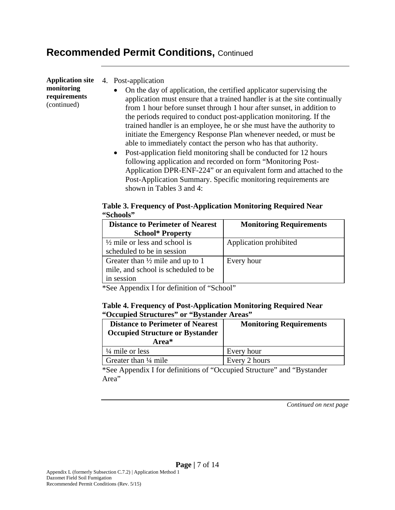**Application site monitoring requirements**  (continued)

#### 4. Post-application

- On the day of application, the certified applicator supervising the application must ensure that a trained handler is at the site continually from 1 hour before sunset through 1 hour after sunset, in addition to the periods required to conduct post-application monitoring. If the trained handler is an employee, he or she must have the authority to initiate the Emergency Response Plan whenever needed, or must be able to immediately contact the person who has that authority.
- Post-application field monitoring shall be conducted for 12 hours following application and recorded on form "Monitoring Post-Application DPR-ENF-224" or an equivalent form and attached to the Post-Application Summary. Specific monitoring requirements are shown in Tables 3 and 4:

|           | Table 3. Frequency of Post-Application Monitoring Required Near |  |
|-----------|-----------------------------------------------------------------|--|
| "Schools" |                                                                 |  |

| <b>Distance to Perimeter of Nearest</b>     | <b>Monitoring Requirements</b> |
|---------------------------------------------|--------------------------------|
| <b>School* Property</b>                     |                                |
| $\frac{1}{2}$ mile or less and school is    | Application prohibited         |
| scheduled to be in session                  |                                |
| Greater than $\frac{1}{2}$ mile and up to 1 | Every hour                     |
| mile, and school is scheduled to be         |                                |
| in session                                  |                                |

\*See Appendix I for definition of "School"

#### **Table 4. Frequency of Post-Application Monitoring Required Near "Occupied Structures" or "Bystander Areas"**

| <b>Distance to Perimeter of Nearest</b><br><b>Occupied Structure or Bystander</b><br>Area* | <b>Monitoring Requirements</b> |
|--------------------------------------------------------------------------------------------|--------------------------------|
| $\frac{1}{4}$ mile or less                                                                 | Every hour                     |
| Greater than $\frac{1}{4}$ mile                                                            | Every 2 hours                  |

\*See Appendix I for definitions of "Occupied Structure" and "Bystander Area"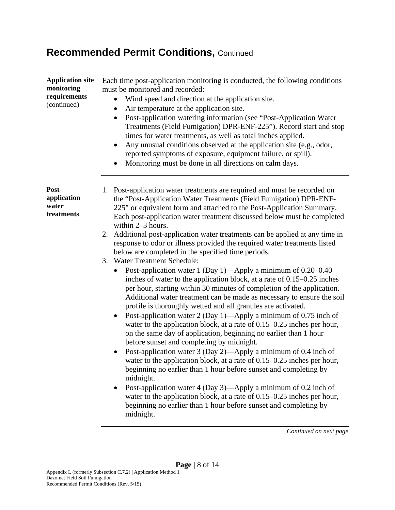| <b>Application site</b><br>monitoring<br>requirements<br>(continued) | Each time post-application monitoring is conducted, the following conditions<br>must be monitored and recorded:<br>Wind speed and direction at the application site.<br>Air temperature at the application site.<br>$\bullet$<br>Post-application watering information (see "Post-Application Water"<br>Treatments (Field Fumigation) DPR-ENF-225"). Record start and stop<br>times for water treatments, as well as total inches applied.<br>Any unusual conditions observed at the application site (e.g., odor,<br>reported symptoms of exposure, equipment failure, or spill).<br>Monitoring must be done in all directions on calm days.<br>$\bullet$                                                                                                                                                                                                                                                                                                                                                                                                                                                                                                                                                          |
|----------------------------------------------------------------------|---------------------------------------------------------------------------------------------------------------------------------------------------------------------------------------------------------------------------------------------------------------------------------------------------------------------------------------------------------------------------------------------------------------------------------------------------------------------------------------------------------------------------------------------------------------------------------------------------------------------------------------------------------------------------------------------------------------------------------------------------------------------------------------------------------------------------------------------------------------------------------------------------------------------------------------------------------------------------------------------------------------------------------------------------------------------------------------------------------------------------------------------------------------------------------------------------------------------|
| Post-<br>application<br>water<br>treatments                          | Post-application water treatments are required and must be recorded on<br>1.<br>the "Post-Application Water Treatments (Field Fumigation) DPR-ENF-<br>225" or equivalent form and attached to the Post-Application Summary.<br>Each post-application water treatment discussed below must be completed<br>within 2-3 hours.<br>2. Additional post-application water treatments can be applied at any time in<br>response to odor or illness provided the required water treatments listed<br>below are completed in the specified time periods.<br>3. Water Treatment Schedule:<br>Post-application water 1 (Day 1)—Apply a minimum of 0.20–0.40<br>inches of water to the application block, at a rate of $0.15-0.25$ inches<br>per hour, starting within 30 minutes of completion of the application.<br>Additional water treatment can be made as necessary to ensure the soil<br>profile is thoroughly wetted and all granules are activated.<br>Post-application water 2 (Day 1)—Apply a minimum of 0.75 inch of<br>water to the application block, at a rate of $0.15-0.25$ inches per hour,<br>on the same day of application, beginning no earlier than 1 hour<br>before sunset and completing by midnight. |
|                                                                      | Post-application water 3 (Day 2)—Apply a minimum of 0.4 inch of<br>water to the application block, at a rate of 0.15–0.25 inches per hour,<br>beginning no earlier than 1 hour before sunset and completing by<br>midnight.<br>Post-application water 4 (Day 3)—Apply a minimum of 0.2 inch of<br>٠<br>water to the application block, at a rate of $0.15-0.25$ inches per hour,<br>beginning no earlier than 1 hour before sunset and completing by<br>midnight.                                                                                                                                                                                                                                                                                                                                                                                                                                                                                                                                                                                                                                                                                                                                                   |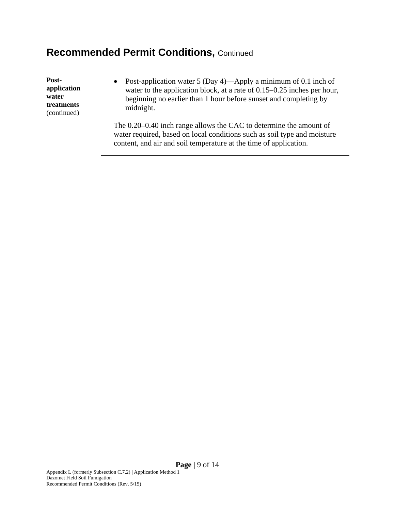**Postapplication water treatments**  (continued)

 Post-application water 5 (Day 4)—Apply a minimum of 0.1 inch of water to the application block, at a rate of 0.15–0.25 inches per hour, beginning no earlier than 1 hour before sunset and completing by midnight.

The 0.20–0.40 inch range allows the CAC to determine the amount of water required, based on local conditions such as soil type and moisture content, and air and soil temperature at the time of application.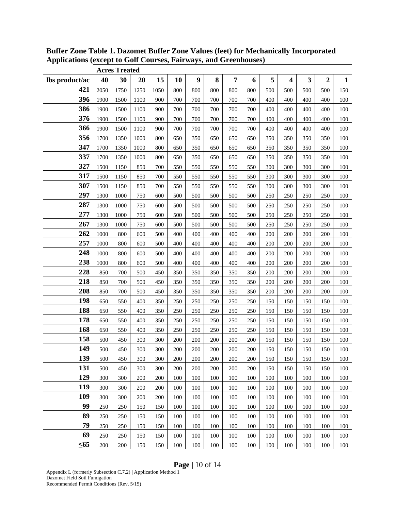|                | <b>Acres Treated</b> |      |      |      |     |     |     |     |     |     |                         |     |                |              |
|----------------|----------------------|------|------|------|-----|-----|-----|-----|-----|-----|-------------------------|-----|----------------|--------------|
| lbs product/ac | 40                   | 30   | 20   | 15   | 10  | 9   | 8   | 7   | 6   | 5   | $\overline{\mathbf{4}}$ | 3   | $\overline{2}$ | $\mathbf{1}$ |
| 421            | 2050                 | 1750 | 1250 | 1050 | 800 | 800 | 800 | 800 | 800 | 500 | 500                     | 500 | 500            | 150          |
| 396            | 1900                 | 1500 | 1100 | 900  | 700 | 700 | 700 | 700 | 700 | 400 | 400                     | 400 | 400            | 100          |
| 386            | 1900                 | 1500 | 1100 | 900  | 700 | 700 | 700 | 700 | 700 | 400 | 400                     | 400 | 400            | 100          |
| 376            | 1900                 | 1500 | 1100 | 900  | 700 | 700 | 700 | 700 | 700 | 400 | 400                     | 400 | 400            | 100          |
| 366            | 1900                 | 1500 | 1100 | 900  | 700 | 700 | 700 | 700 | 700 | 400 | 400                     | 400 | 400            | 100          |
| 356            | 1700                 | 1350 | 1000 | 800  | 650 | 350 | 650 | 650 | 650 | 350 | 350                     | 350 | 350            | 100          |
| 347            | 1700                 | 1350 | 1000 | 800  | 650 | 350 | 650 | 650 | 650 | 350 | 350                     | 350 | 350            | 100          |
| 337            | 1700                 | 1350 | 1000 | 800  | 650 | 350 | 650 | 650 | 650 | 350 | 350                     | 350 | 350            | 100          |
| 327            | 1500                 | 1150 | 850  | 700  | 550 | 550 | 550 | 550 | 550 | 300 | 300                     | 300 | 300            | 100          |
| 317            | 1500                 | 1150 | 850  | 700  | 550 | 550 | 550 | 550 | 550 | 300 | 300                     | 300 | 300            | 100          |
| 307            | 1500                 | 1150 | 850  | 700  | 550 | 550 | 550 | 550 | 550 | 300 | 300                     | 300 | 300            | 100          |
| 297            | 1300                 | 1000 | 750  | 600  | 500 | 500 | 500 | 500 | 500 | 250 | 250                     | 250 | 250            | 100          |
| 287            | 1300                 | 1000 | 750  | 600  | 500 | 500 | 500 | 500 | 500 | 250 | 250                     | 250 | 250            | 100          |
| 277            | 1300                 | 1000 | 750  | 600  | 500 | 500 | 500 | 500 | 500 | 250 | 250                     | 250 | 250            | 100          |
| 267            | 1300                 | 1000 | 750  | 600  | 500 | 500 | 500 | 500 | 500 | 250 | 250                     | 250 | 250            | 100          |
| 262            | 1000                 | 800  | 600  | 500  | 400 | 400 | 400 | 400 | 400 | 200 | 200                     | 200 | 200            | 100          |
| 257            | 1000                 | 800  | 600  | 500  | 400 | 400 | 400 | 400 | 400 | 200 | 200                     | 200 | 200            | 100          |
| 248            | 1000                 | 800  | 600  | 500  | 400 | 400 | 400 | 400 | 400 | 200 | 200                     | 200 | 200            | 100          |
| 238            | 1000                 | 800  | 600  | 500  | 400 | 400 | 400 | 400 | 400 | 200 | 200                     | 200 | 200            | 100          |
| 228            | 850                  | 700  | 500  | 450  | 350 | 350 | 350 | 350 | 350 | 200 | 200                     | 200 | 200            | 100          |
| 218            | 850                  | 700  | 500  | 450  | 350 | 350 | 350 | 350 | 350 | 200 | 200                     | 200 | 200            | 100          |
| 208            | 850                  | 700  | 500  | 450  | 350 | 350 | 350 | 350 | 350 | 200 | 200                     | 200 | 200            | 100          |
| 198            | 650                  | 550  | 400  | 350  | 250 | 250 | 250 | 250 | 250 | 150 | 150                     | 150 | 150            | 100          |
| 188            | 650                  | 550  | 400  | 350  | 250 | 250 | 250 | 250 | 250 | 150 | 150                     | 150 | 150            | 100          |
| 178            | 650                  | 550  | 400  | 350  | 250 | 250 | 250 | 250 | 250 | 150 | 150                     | 150 | 150            | 100          |
| 168            | 650                  | 550  | 400  | 350  | 250 | 250 | 250 | 250 | 250 | 150 | 150                     | 150 | 150            | 100          |
| 158            | 500                  | 450  | 300  | 300  | 200 | 200 | 200 | 200 | 200 | 150 | 150                     | 150 | 150            | 100          |
| 149            | 500                  | 450  | 300  | 300  | 200 | 200 | 200 | 200 | 200 | 150 | 150                     | 150 | 150            | 100          |
| 139            | 500                  | 450  | 300  | 300  | 200 | 200 | 200 | 200 | 200 | 150 | 150                     | 150 | 150            | 100          |
| 131            | 500                  | 450  | 300  | 300  | 200 | 200 | 200 | 200 | 200 | 150 | 150                     | 150 | 150            | 100          |
| 129            | 300                  | 300  | 200  | 200  | 100 | 100 | 100 | 100 | 100 | 100 | 100                     | 100 | 100            | 100          |
| 119            | 300                  | 300  | 200  | 200  | 100 | 100 | 100 | 100 | 100 | 100 | 100                     | 100 | 100            | 100          |
| 109            | 300                  | 300  | 200  | 200  | 100 | 100 | 100 | 100 | 100 | 100 | 100                     | 100 | 100            | 100          |
| 99             | 250                  | 250  | 150  | 150  | 100 | 100 | 100 | 100 | 100 | 100 | 100                     | 100 | 100            | 100          |
| 89             | 250                  | 250  | 150  | 150  | 100 | 100 | 100 | 100 | 100 | 100 | 100                     | 100 | 100            | 100          |
| 79             | 250                  | 250  | 150  | 150  | 100 | 100 | 100 | 100 | 100 | 100 | 100                     | 100 | 100            | 100          |
| 69             | 250                  | 250  | 150  | 150  | 100 | 100 | 100 | 100 | 100 | 100 | 100                     | 100 | 100            | 100          |
| $\leq 65$      | 200                  | 200  | 150  | 150  | 100 | 100 | 100 | 100 | 100 | 100 | 100                     | 100 | 100            | 100          |

**Buffer Zone Table 1. Dazomet Buffer Zone Values (feet) for Mechanically Incorporated Applications (except to Golf Courses, Fairways, and Greenhouses)** 

### **Page |** 10 of 14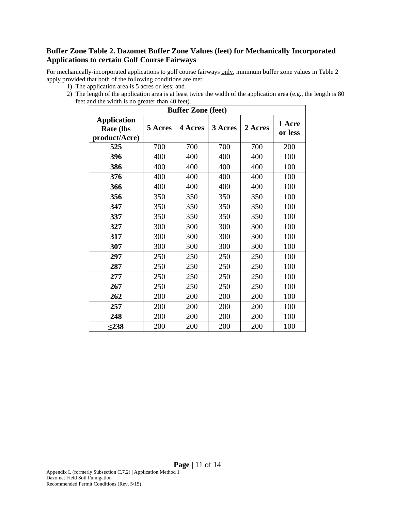#### **Buffer Zone Table 2. Dazomet Buffer Zone Values (feet) for Mechanically Incorporated Applications to certain Golf Course Fairways**

For mechanically-incorporated applications to golf course fairways only, minimum buffer zone values in Table 2 apply provided that both of the following conditions are met:

- 1) The application area is 5 acres or less; and
- 2) The length of the application area is at least twice the width of the application area (e.g., the length is 80 feet and the width is no greater than 40 feet).

| <b>Buffer Zone (feet)</b>                               |         |                |         |         |                   |  |  |  |  |  |  |
|---------------------------------------------------------|---------|----------------|---------|---------|-------------------|--|--|--|--|--|--|
| <b>Application</b><br><b>Rate (lbs</b><br>product/Acre) | 5 Acres | <b>4 Acres</b> | 3 Acres | 2 Acres | 1 Acre<br>or less |  |  |  |  |  |  |
| 525                                                     | 700     | 700            | 700     | 700     | 200               |  |  |  |  |  |  |
| 396                                                     | 400     | 400            | 400     | 400     | 100               |  |  |  |  |  |  |
| 386                                                     | 400     | 400            | 400     | 400     | 100               |  |  |  |  |  |  |
| 376                                                     | 400     | 400            | 400     | 400     | 100               |  |  |  |  |  |  |
| 366                                                     | 400     | 400            | 400     | 400     | 100               |  |  |  |  |  |  |
| 356                                                     | 350     | 350            | 350     | 350     | 100               |  |  |  |  |  |  |
| 347                                                     | 350     | 350            | 350     | 350     | 100               |  |  |  |  |  |  |
| 337                                                     | 350     | 350            | 350     | 350     | 100               |  |  |  |  |  |  |
| 327                                                     | 300     | 300            | 300     | 300     | 100               |  |  |  |  |  |  |
| 317                                                     | 300     | 300            | 300     | 300     | 100               |  |  |  |  |  |  |
| 307                                                     | 300     | 300            | 300     | 300     | 100               |  |  |  |  |  |  |
| 297                                                     | 250     | 250            | 250     | 250     | 100               |  |  |  |  |  |  |
| 287                                                     | 250     | 250            | 250     | 250     | 100               |  |  |  |  |  |  |
| 277                                                     | 250     | 250            | 250     | 250     | 100               |  |  |  |  |  |  |
| 267                                                     | 250     | 250            | 250     | 250     | 100               |  |  |  |  |  |  |
| 262                                                     | 200     | 200            | 200     | 200     | 100               |  |  |  |  |  |  |
| 257                                                     | 200     | 200            | 200     | 200     | 100               |  |  |  |  |  |  |
| 248                                                     | 200     | 200            | 200     | 200     | 100               |  |  |  |  |  |  |
| < 238                                                   | 200     | 200            | 200     | 200     | 100               |  |  |  |  |  |  |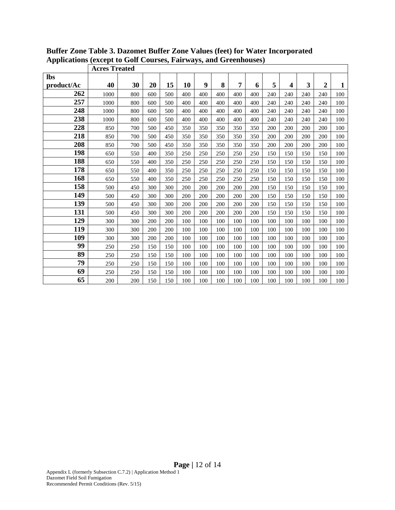|            | <b>Acres Treated</b> |     |     |     |     |     |     |     |     |     |     |     |                |              |
|------------|----------------------|-----|-----|-----|-----|-----|-----|-----|-----|-----|-----|-----|----------------|--------------|
| <b>lbs</b> |                      |     |     |     |     |     |     |     |     |     |     |     |                |              |
| product/Ac | 40                   | 30  | 20  | 15  | 10  | 9   | 8   | 7   | 6   | 5   | 4   | 3   | $\overline{2}$ | $\mathbf{1}$ |
| 262        | 1000                 | 800 | 600 | 500 | 400 | 400 | 400 | 400 | 400 | 240 | 240 | 240 | 240            | 100          |
| 257        | 1000                 | 800 | 600 | 500 | 400 | 400 | 400 | 400 | 400 | 240 | 240 | 240 | 240            | 100          |
| 248        | 1000                 | 800 | 600 | 500 | 400 | 400 | 400 | 400 | 400 | 240 | 240 | 240 | 240            | 100          |
| 238        | 1000                 | 800 | 600 | 500 | 400 | 400 | 400 | 400 | 400 | 240 | 240 | 240 | 240            | 100          |
| 228        | 850                  | 700 | 500 | 450 | 350 | 350 | 350 | 350 | 350 | 200 | 200 | 200 | 200            | 100          |
| 218        | 850                  | 700 | 500 | 450 | 350 | 350 | 350 | 350 | 350 | 200 | 200 | 200 | 200            | 100          |
| 208        | 850                  | 700 | 500 | 450 | 350 | 350 | 350 | 350 | 350 | 200 | 200 | 200 | 200            | 100          |
| 198        | 650                  | 550 | 400 | 350 | 250 | 250 | 250 | 250 | 250 | 150 | 150 | 150 | 150            | 100          |
| 188        | 650                  | 550 | 400 | 350 | 250 | 250 | 250 | 250 | 250 | 150 | 150 | 150 | 150            | 100          |
| 178        | 650                  | 550 | 400 | 350 | 250 | 250 | 250 | 250 | 250 | 150 | 150 | 150 | 150            | 100          |
| 168        | 650                  | 550 | 400 | 350 | 250 | 250 | 250 | 250 | 250 | 150 | 150 | 150 | 150            | 100          |
| 158        | 500                  | 450 | 300 | 300 | 200 | 200 | 200 | 200 | 200 | 150 | 150 | 150 | 150            | 100          |
| 149        | 500                  | 450 | 300 | 300 | 200 | 200 | 200 | 200 | 200 | 150 | 150 | 150 | 150            | 100          |
| 139        | 500                  | 450 | 300 | 300 | 200 | 200 | 200 | 200 | 200 | 150 | 150 | 150 | 150            | 100          |
| 131        | 500                  | 450 | 300 | 300 | 200 | 200 | 200 | 200 | 200 | 150 | 150 | 150 | 150            | 100          |
| 129        | 300                  | 300 | 200 | 200 | 100 | 100 | 100 | 100 | 100 | 100 | 100 | 100 | 100            | 100          |
| 119        | 300                  | 300 | 200 | 200 | 100 | 100 | 100 | 100 | 100 | 100 | 100 | 100 | 100            | 100          |
| 109        | 300                  | 300 | 200 | 200 | 100 | 100 | 100 | 100 | 100 | 100 | 100 | 100 | 100            | 100          |
| 99         | 250                  | 250 | 150 | 150 | 100 | 100 | 100 | 100 | 100 | 100 | 100 | 100 | 100            | 100          |
| 89         | 250                  | 250 | 150 | 150 | 100 | 100 | 100 | 100 | 100 | 100 | 100 | 100 | 100            | 100          |
| 79         | 250                  | 250 | 150 | 150 | 100 | 100 | 100 | 100 | 100 | 100 | 100 | 100 | 100            | 100          |
| 69         | 250                  | 250 | 150 | 150 | 100 | 100 | 100 | 100 | 100 | 100 | 100 | 100 | 100            | 100          |
| 65         | 200                  | 200 | 150 | 150 | 100 | 100 | 100 | 100 | 100 | 100 | 100 | 100 | 100            | 100          |

**Buffer Zone Table 3. Dazomet Buffer Zone Values (feet) for Water Incorporated Applications (except to Golf Courses, Fairways, and Greenhouses)**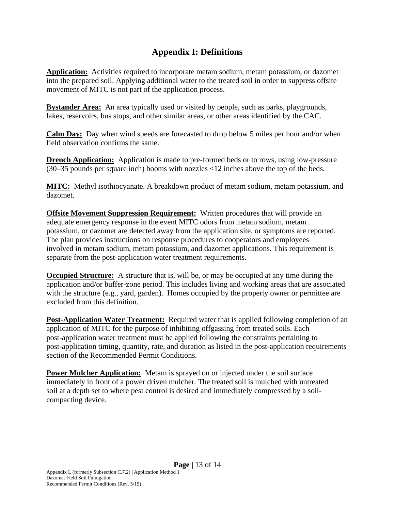### **Appendix I: Definitions**

**Application:** Activities required to incorporate metam sodium, metam potassium, or dazomet into the prepared soil. Applying additional water to the treated soil in order to suppress offsite movement of MITC is not part of the application process.

**Bystander Area:** An area typically used or visited by people, such as parks, playgrounds, lakes, reservoirs, bus stops, and other similar areas, or other areas identified by the CAC.

**Calm Day:** Day when wind speeds are forecasted to drop below 5 miles per hour and/or when field observation confirms the same.

**Drench Application:** Application is made to pre-formed beds or to rows, using low-pressure (30–35 pounds per square inch) booms with nozzles <12 inches above the top of the beds.

**MITC:** Methyl isothiocyanate. A breakdown product of metam sodium, metam potassium, and dazomet.

**Offsite Movement Suppression Requirement:** Written procedures that will provide an adequate emergency response in the event MITC odors from metam sodium, metam potassium, or dazomet are detected away from the application site, or symptoms are reported. The plan provides instructions on response procedures to cooperators and employees involved in metam sodium, metam potassium, and dazomet applications. This requirement is separate from the post-application water treatment requirements.

**Occupied Structure:** A structure that is, will be, or may be occupied at any time during the application and/or buffer-zone period. This includes living and working areas that are associated with the structure (e.g., yard, garden). Homes occupied by the property owner or permittee are excluded from this definition.

**Post-Application Water Treatment:** Required water that is applied following completion of an application of MITC for the purpose of inhibiting offgassing from treated soils. Each post-application water treatment must be applied following the constraints pertaining to post-application timing, quantity, rate, and duration as listed in the post-application requirements section of the Recommended Permit Conditions.

**Power Mulcher Application:** Metam is sprayed on or injected under the soil surface immediately in front of a power driven mulcher. The treated soil is mulched with untreated soil at a depth set to where pest control is desired and immediately compressed by a soilcompacting device.